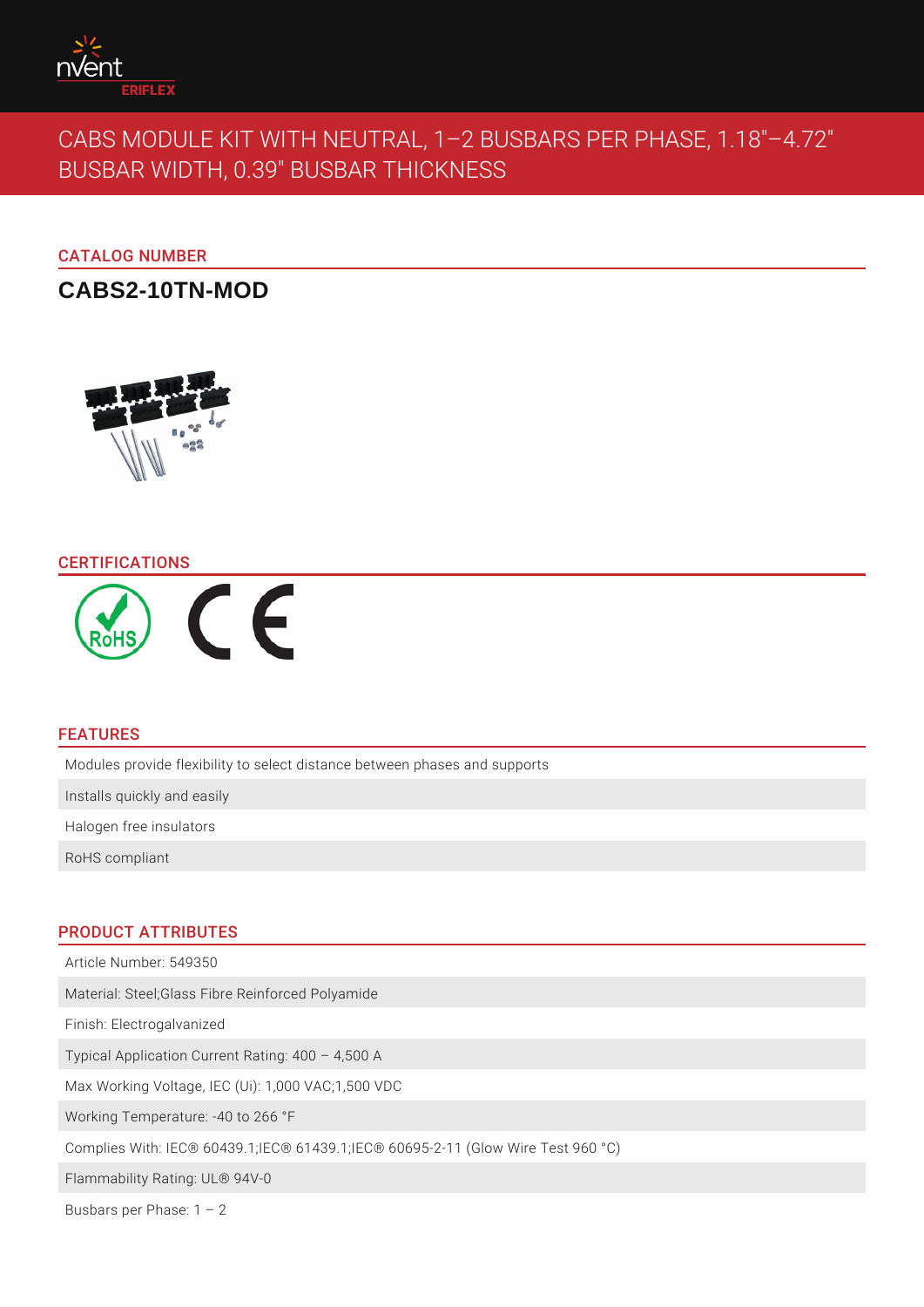# CABS MODULE KIT WITH NEUTRAL, 1 2 BUSBARS P BUSBAR WIDTH, 0.39" BUSBAR THICKNESS

# CATALOG NUMBER

CABS2-10TN-MOD

## CERTIFICATIONS

## FEATURES

Modules provide flexibility to select distance between phases and supports

Installs quickly and easily

Halogen free insulators

RoHS compliant

## PRODUCT ATTRIBUTES

Article Number: 549350

Material: Steel;Glass Fibre Reinforced Polyamide

Finish: Electrogalvanized

Typical Application Current Rating: 400 4,500 A

Max Working Voltage, IEC (Ui): 1,000 VAC;1,500 VDC

Working Temperature: -40 to 266 °F

Complies With: IEC® 60439.1;IEC® 61439.1;IEC® 60695-2-11 (Glow Wire Test 96

Flammability Rating: UL® 94V-0

Busbars per Phase: 1 2